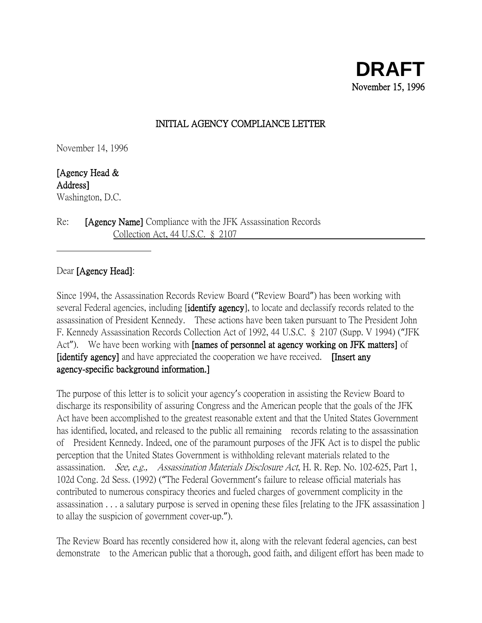## INITIAL AGENCY COMPLIANCE LETTER

November 14, 1996

[Agency Head & Address] Washington, D.C.

Re: [Agency Name] Compliance with the JFK Assassination Records Collection Act, 44 U.S.C. § 2107

## Dear [Agency Head]:

Since 1994, the Assassination Records Review Board ("Review Board") has been working with several Federal agencies, including **[identify agency]**, to locate and declassify records related to the assassination of President Kennedy. These actions have been taken pursuant to The President John F. Kennedy Assassination Records Collection Act of 1992, 44 U.S.C. § 2107 (Supp. V 1994) ("JFK Act"). We have been working with **[names of personnel at agency working on JFK matters**] of [identify agency] and have appreciated the cooperation we have received. [Insert any agency-specific background information.]

The purpose of this letter is to solicit your agency's cooperation in assisting the Review Board to discharge its responsibility of assuring Congress and the American people that the goals of the JFK Act have been accomplished to the greatest reasonable extent and that the United States Government has identified, located, and released to the public all remaining records relating to the assassination of President Kennedy. Indeed, one of the paramount purposes of the JFK Act is to dispel the public perception that the United States Government is withholding relevant materials related to the assassination. See, e.g., Assassination Materials Disclosure Act, H. R. Rep. No. 102-625, Part 1, 102d Cong. 2d Sess. (1992) ("The Federal Government's failure to release official materials has contributed to numerous conspiracy theories and fueled charges of government complicity in the assassination . . . a salutary purpose is served in opening these files [relating to the JFK assassination ] to allay the suspicion of government cover-up.").

The Review Board has recently considered how it, along with the relevant federal agencies, can best demonstrate to the American public that a thorough, good faith, and diligent effort has been made to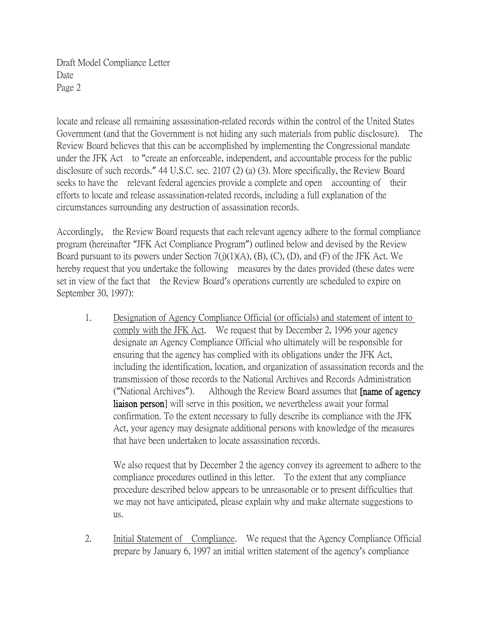locate and release all remaining assassination-related records within the control of the United States Government (and that the Government is not hiding any such materials from public disclosure). The Review Board believes that this can be accomplished by implementing the Congressional mandate under the JFK Act to "create an enforceable, independent, and accountable process for the public disclosure of such records." 44 U.S.C. sec. 2107 (2) (a) (3). More specifically, the Review Board seeks to have the relevant federal agencies provide a complete and open accounting of their efforts to locate and release assassination-related records, including a full explanation of the circumstances surrounding any destruction of assassination records.

Accordingly, the Review Board requests that each relevant agency adhere to the formal compliance program (hereinafter "JFK Act Compliance Program") outlined below and devised by the Review Board pursuant to its powers under Section 7(j)(1)(A), (B), (C), (D), and (F) of the JFK Act. We hereby request that you undertake the following measures by the dates provided (these dates were set in view of the fact that the Review Board's operations currently are scheduled to expire on September 30, 1997):

1. Designation of Agency Compliance Official (or officials) and statement of intent to comply with the JFK Act. We request that by December 2, 1996 your agency designate an Agency Compliance Official who ultimately will be responsible for ensuring that the agency has complied with its obligations under the JFK Act, including the identification, location, and organization of assassination records and the transmission of those records to the National Archives and Records Administration ("National Archives"). Although the Review Board assumes that [name of agency liaison person] will serve in this position, we nevertheless await your formal confirmation. To the extent necessary to fully describe its compliance with the JFK Act, your agency may designate additional persons with knowledge of the measures that have been undertaken to locate assassination records.

We also request that by December 2 the agency convey its agreement to adhere to the compliance procedures outlined in this letter. To the extent that any compliance procedure described below appears to be unreasonable or to present difficulties that we may not have anticipated, please explain why and make alternate suggestions to us.

2. Initial Statement of Compliance. We request that the Agency Compliance Official prepare by January 6, 1997 an initial written statement of the agency's compliance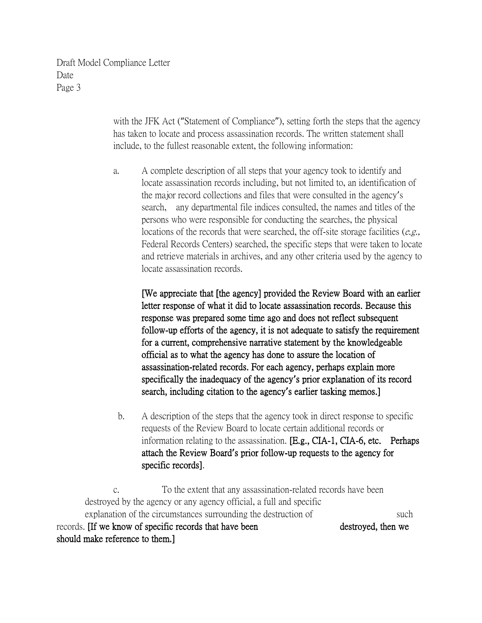> with the JFK Act ("Statement of Compliance"), setting forth the steps that the agency has taken to locate and process assassination records. The written statement shall include, to the fullest reasonable extent, the following information:

> a. A complete description of all steps that your agency took to identify and locate assassination records including, but not limited to, an identification of the major record collections and files that were consulted in the agency's search, any departmental file indices consulted, the names and titles of the persons who were responsible for conducting the searches, the physical locations of the records that were searched, the off-site storage facilities  $(e.g.,)$ Federal Records Centers) searched, the specific steps that were taken to locate and retrieve materials in archives, and any other criteria used by the agency to locate assassination records.

[We appreciate that [the agency] provided the Review Board with an earlier letter response of what it did to locate assassination records. Because this response was prepared some time ago and does not reflect subsequent follow-up efforts of the agency, it is not adequate to satisfy the requirement for a current, comprehensive narrative statement by the knowledgeable official as to what the agency has done to assure the location of assassination-related records. For each agency, perhaps explain more specifically the inadequacy of the agency**'**s prior explanation of its record search, including citation to the agency**'**s earlier tasking memos.]

b. A description of the steps that the agency took in direct response to specific requests of the Review Board to locate certain additional records or information relating to the assassination. [E.g., CIA-1, CIA-6, etc. Perhaps attach the Review Board**'**s prior follow-up requests to the agency for specific records].

c. To the extent that any assassination-related records have been destroyed by the agency or any agency official, a full and specific explanation of the circumstances surrounding the destruction of such such records. If we know of specific records that have been destroyed, then we should make reference to them.]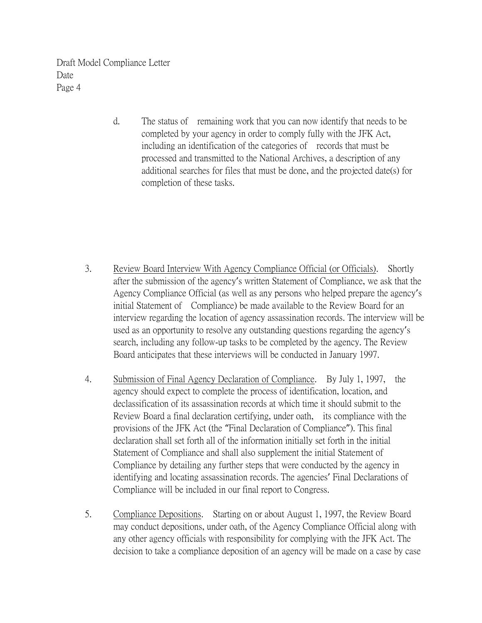> d. The status of remaining work that you can now identify that needs to be completed by your agency in order to comply fully with the JFK Act, including an identification of the categories of records that must be processed and transmitted to the National Archives, a description of any additional searches for files that must be done, and the projected date(s) for completion of these tasks.

- 3. Review Board Interview With Agency Compliance Official (or Officials). Shortly after the submission of the agency's written Statement of Compliance, we ask that the Agency Compliance Official (as well as any persons who helped prepare the agency's initial Statement of Compliance) be made available to the Review Board for an interview regarding the location of agency assassination records. The interview will be used as an opportunity to resolve any outstanding questions regarding the agency's search, including any follow-up tasks to be completed by the agency. The Review Board anticipates that these interviews will be conducted in January 1997.
- 4. Submission of Final Agency Declaration of Compliance. By July 1, 1997, the agency should expect to complete the process of identification, location, and declassification of its assassination records at which time it should submit to the Review Board a final declaration certifying, under oath, its compliance with the provisions of the JFK Act (the "Final Declaration of Compliance"). This final declaration shall set forth all of the information initially set forth in the initial Statement of Compliance and shall also supplement the initial Statement of Compliance by detailing any further steps that were conducted by the agency in identifying and locating assassination records. The agencies' Final Declarations of Compliance will be included in our final report to Congress.
- 5. Compliance Depositions. Starting on or about August 1, 1997, the Review Board may conduct depositions, under oath, of the Agency Compliance Official along with any other agency officials with responsibility for complying with the JFK Act. The decision to take a compliance deposition of an agency will be made on a case by case